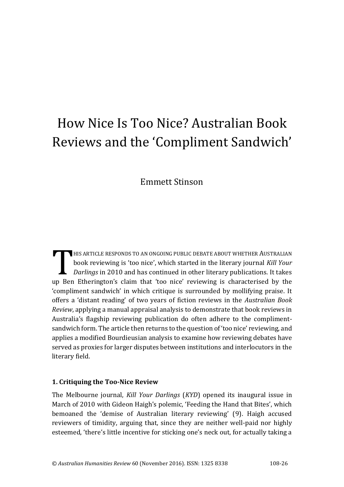# How Nice Is Too Nice? Australian Book Reviews and the 'Compliment Sandwich'

# Emmett Stinson

HIS ARTICLE RESPONDS TO AN ONGOING PUBLIC DEBATE ABOUT WHETHER AUSTRALIAN book reviewing is 'too nice', which started in the literary journal *Kill Your Darlings* in 2010 and has continued in other literary publications. It takes THIS ARTICLE RESPONDS TO AN ONGOING PUBLIC DEBATE ABOUT WHETHER AUSTRALIAN<br>book reviewing is 'too nice', which started in the literary journal Kill Your<br>Darlings in 2010 and has continued in other literary publications. It 'compliment sandwich' in which critique is surrounded by mollifying praise. It offers a 'distant reading' of two years of fiction reviews in the *Australian Book Review*, applying a manual appraisal analysis to demonstrate that book reviews in Australia's flagship reviewing publication do often adhere to the complimentsandwich form. The article then returns to the question of 'too nice' reviewing, and applies a modified Bourdieusian analysis to examine how reviewing debates have served as proxies for larger disputes between institutions and interlocutors in the literary field.

#### **1. Critiquing the Too-Nice Review**

The Melbourne journal, *Kill Your Darlings* (*KYD*) opened its inaugural issue in March of 2010 with Gideon Haigh's polemic, 'Feeding the Hand that Bites', which bemoaned the 'demise of Australian literary reviewing' (9). Haigh accused reviewers of timidity, arguing that, since they are neither well-paid nor highly esteemed, 'there's little incentive for sticking one's neck out, for actually taking a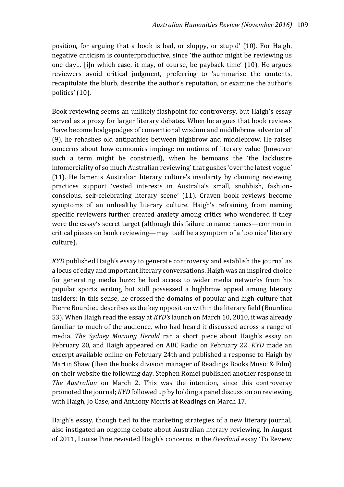position, for arguing that a book is bad, or sloppy, or stupid' (10). For Haigh, negative criticism is counterproductive, since 'the author might be reviewing us one day… [i]n which case, it may, of course, be payback time' (10). He argues reviewers avoid critical judgment, preferring to 'summarise the contents, recapitulate the blurb, describe the author's reputation, or examine the author's politics' (10).

Book reviewing seems an unlikely flashpoint for controversy, but Haigh's essay served as a proxy for larger literary debates. When he argues that book reviews 'have become hodgepodges of conventional wisdom and middlebrow advertorial' (9), he rehashes old antipathies between highbrow and middlebrow. He raises concerns about how economics impinge on notions of literary value (however such a term might be construed), when he bemoans the 'the lacklustre infomerciality of so much Australian reviewing' that gushes 'over the latest vogue' (11). He laments Australian literary culture's insularity by claiming reviewing practices support 'vested interests in Australia's small, snobbish, fashionconscious, self-celebrating literary scene' (11). Craven book reviews become symptoms of an unhealthy literary culture. Haigh's refraining from naming specific reviewers further created anxiety among critics who wondered if they were the essay's secret target (although this failure to name names—common in critical pieces on book reviewing—may itself be a symptom of a 'too nice' literary culture).

*KYD* published Haigh's essay to generate controversy and establish the journal as a locus of edgy and important literary conversations. Haigh was an inspired choice for generating media buzz: he had access to wider media networks from his popular sports writing but still possessed a highbrow appeal among literary insiders; in this sense, he crossed the domains of popular and high culture that Pierre Bourdieu describes as the key opposition within the literary field (Bourdieu 53). When Haigh read the essay at *KYD's* launch on March 10, 2010, it was already familiar to much of the audience, who had heard it discussed across a range of media. *The Sydney Morning Herald* ran a short piece about Haigh's essay on February 20, and Haigh appeared on ABC Radio on February 22. *KYD* made an excerpt available online on February 24th and published a response to Haigh by Martin Shaw (then the books division manager of Readings Books Music & Film) on their website the following day. Stephen Romei published another response in *The Australian* on March 2. This was the intention, since this controversy promoted the journal; *KYD* followed up by holding a panel discussion on reviewing with Haigh, Jo Case, and Anthony Morris at Readings on March 17.

Haigh's essay, though tied to the marketing strategies of a new literary journal, also instigated an ongoing debate about Australian literary reviewing. In August of 2011, Louise Pine revisited Haigh's concerns in the *Overland* essay 'To Review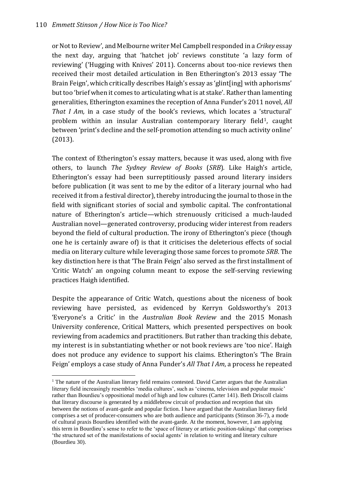j

or Not to Review', and Melbourne writer Mel Campbell responded in a *Crikey* essay the next day, arguing that 'hatchet job' reviews constitute 'a lazy form of reviewing' ('Hugging with Knives' 2011). Concerns about too-nice reviews then received their most detailed articulation in Ben Etherington's 2013 essay 'The Brain Feign', which critically describes Haigh's essay as 'glint[ing] with aphorisms' but too 'brief when it comes to articulating what is at stake'. Rather than lamenting generalities, Etherington examines the reception of Anna Funder's 2011 novel, *All That I Am,* in a case study of the book's reviews, which locates a 'structural' problem within an insular Australian contemporary literary field<sup>1</sup>, caught between 'print's decline and the self-promotion attending so much activity online' (2013).

The context of Etherington's essay matters, because it was used, along with five others, to launch *The Sydney Review of Books* (*SRB*)*.* Like Haigh's article, Etherington's essay had been surreptitiously passed around literary insiders before publication (it was sent to me by the editor of a literary journal who had received it from a festival director), thereby introducing the journal to those in the field with significant stories of social and symbolic capital. The confrontational nature of Etherington's article—which strenuously criticised a much-lauded Australian novel—generated controversy, producing wider interest from readers beyond the field of cultural production. The irony of Etherington's piece (though one he is certainly aware of) is that it criticises the deleterious effects of social media on literary culture while leveraging those same forces to promote *SRB*. The key distinction here is that 'The Brain Feign' also served as the first installment of 'Critic Watch' an ongoing column meant to expose the self-serving reviewing practices Haigh identified.

Despite the appearance of Critic Watch, questions about the niceness of book reviewing have persisted, as evidenced by Kerryn Goldsworthy's 2013 'Everyone's a Critic' in the *Australian Book Review* and the 2015 Monash University conference, Critical Matters, which presented perspectives on book reviewing from academics and practitioners. But rather than tracking this debate, my interest is in substantiating whether or not book reviews are 'too nice'. Haigh does not produce any evidence to support his claims. Etherington's 'The Brain Feign' employs a case study of Anna Funder's *All That I Am*, a process he repeated

<sup>&</sup>lt;sup>1</sup> The nature of the Australian literary field remains contested. David Carter argues that the Australian literary field increasingly resembles 'media cultures', such as 'cinema, television and popular music' rather than Bourdieu's oppositional model of high and low cultures (Carter 141). Beth Driscoll claims that literary discourse is generated by a middlebrow circuit of production and reception that sits between the notions of avant-garde and popular fiction. I have argued that the Australian literary field comprises a set of producer-consumers who are both audience and participants (Stinson 36-7), a mode of cultural praxis Bourdieu identified with the avant-garde. At the moment, however, I am applying this term in Bourdieu's sense to refer to the 'space of literary or artistic position-takings' that comprises 'the structured set of the manifestations of social agents' in relation to writing and literary culture (Bourdieu 30).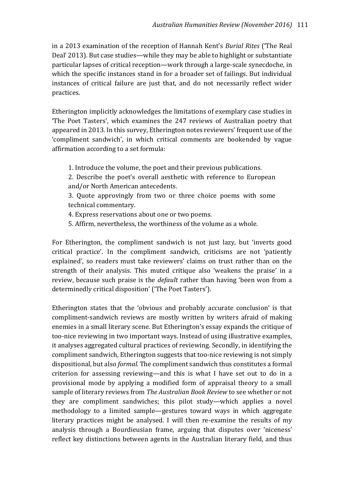in a 2013 examination of the reception of Hannah Kent's *Burial Rites* ('The Real Deal' 2013). But case studies—while they may be able to highlight or substantiate particular lapses of critical reception—work through a large-scale synecdoche, in which the specific instances stand in for a broader set of failings. But individual instances of critical failure are just that, and do not necessarily reflect wider practices.

Etherington implicitly acknowledges the limitations of exemplary case studies in 'The Poet Tasters', which examines the 247 reviews of Australian poetry that appeared in 2013. In this survey, Etherington notes reviewers' frequent use of the 'compliment sandwich', in which critical comments are bookended by vague affirmation according to a set formula:

- 1. Introduce the volume, the poet and their previous publications.
- 2. Describe the poet's overall aesthetic with reference to European and/or North American antecedents.

3. Quote approvingly from two or three choice poems with some technical commentary.

- 4. Express reservations about one or two poems.
- 5. Affirm, nevertheless, the worthiness of the volume as a whole.

For Etherington, the compliment sandwich is not just lazy, but 'inverts good critical practice'. In the compliment sandwich, criticisms are not 'patiently explained', so readers must take reviewers' claims on trust rather than on the strength of their analysis. This muted critique also 'weakens the praise' in a review, because such praise is the *default* rather than having 'been won from a determinedly critical disposition' ('The Poet Tasters').

Etherington states that the 'obvious and probably accurate conclusion' is that compliment-sandwich reviews are mostly written by writers afraid of making enemies in a small literary scene. But Etherington's essay expands the critique of too-nice reviewing in two important ways. Instead of using illustrative examples, it analyses aggregated cultural practices of reviewing. Secondly, in identifying the compliment sandwich, Etherington suggests that too-nice reviewing is not simply dispositional, but also *formal.* The compliment sandwich thus constitutes a formal criterion for assessing reviewing—and this is what I have set out to do in a provisional mode by applying a modified form of appraisal theory to a small sample of literary reviews from *The Australian Book Review* to see whether or not they are compliment sandwiches; this pilot study—which applies a novel methodology to a limited sample—gestures toward ways in which aggregate literary practices might be analysed. I will then re-examine the results of my analysis through a Bourdieusian frame, arguing that disputes over 'niceness' reflect key distinctions between agents in the Australian literary field, and thus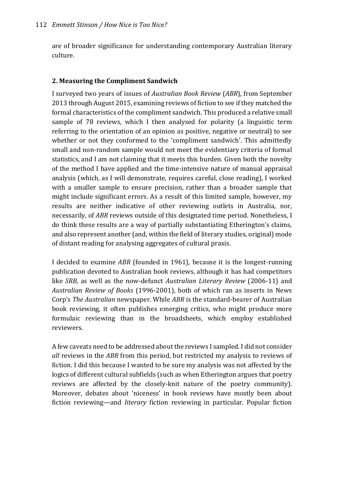are of broader significance for understanding contemporary Australian literary culture.

## **2. Measuring the Compliment Sandwich**

I surveyed two years of issues of *Australian Book Review* (*ABR*), from September 2013 through August 2015, examining reviews of fiction to see if they matched the formal characteristics of the compliment sandwich. This produced a relative small sample of 78 reviews, which I then analysed for polarity (a linguistic term referring to the orientation of an opinion as positive, negative or neutral) to see whether or not they conformed to the 'compliment sandwich'. This admittedly small and non-random sample would not meet the evidentiary criteria of formal statistics, and I am not claiming that it meets this burden. Given both the novelty of the method I have applied and the time-intensive nature of manual appraisal analysis (which, as I will demonstrate, requires careful, close reading), I worked with a smaller sample to ensure precision, rather than a broader sample that might include significant errors. As a result of this limited sample, however, my results are neither indicative of other reviewing outlets in Australia, nor, necessarily, of *ABR* reviews outside of this designated time period. Nonetheless, I do think these results are a way of partially substantiating Etherington's claims, and also represent another (and, within the field of literary studies, original) mode of distant reading for analysing aggregates of cultural praxis.

I decided to examine *ABR* (founded in 1961)*,* because it is the longest-running publication devoted to Australian book reviews, although it has had competitors like *SRB*, as well as the now-defunct *Australian Literary Review* (2006-11) and *Australian Review of Books* (1996-2001), both of which ran as inserts in News Corp's *The Australian* newspaper. While *ABR* is the standard-bearer of Australian book reviewing, it often publishes emerging critics, who might produce more formulaic reviewing than in the broadsheets, which employ established reviewers.

A few caveats need to be addressed about the reviews I sampled. I did not consider *all* reviews in the *ABR* from this period, but restricted my analysis to reviews of fiction. I did this because I wanted to be sure my analysis was not affected by the logics of different cultural subfields (such as when Etherington argues that poetry reviews are affected by the closely-knit nature of the poetry community). Moreover, debates about 'niceness' in book reviews have mostly been about fiction reviewing—and *literary* fiction reviewing in particular. Popular fiction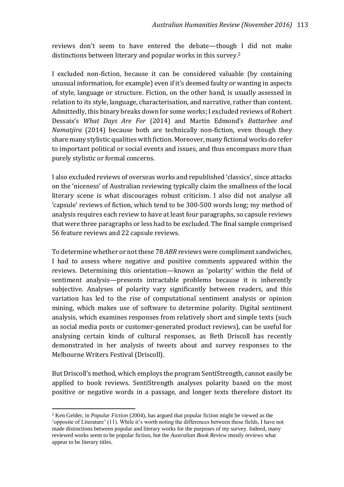reviews don't seem to have entered the debate—though I did not make distinctions between literary and popular works in this survey.<sup>2</sup>

I excluded non-fiction, because it can be considered valuable (by containing unusual information, for example) even if it's deemed faulty or wanting in aspects of style, language or structure. Fiction, on the other hand, is usually assessed in relation to its style, language, characterisation, and narrative, rather than content. Admittedly, this binary breaks down for some works; I excluded reviews of Robert Dessaix's *What Days Are For* (2014) and Martin Edmond's *Battarbee and Namatjira* (2014) because both are technically non-fiction, even though they share many stylistic qualities with fiction. Moreover, many fictional works do refer to important political or social events and issues, and thus encompass more than purely stylistic or formal concerns.

I also excluded reviews of overseas works and republished 'classics', since attacks on the 'niceness' of Australian reviewing typically claim the smallness of the local literary scene is what discourages robust criticism. I also did not analyse all 'capsule' reviews of fiction, which tend to be 300-500 words long; my method of analysis requires each review to have at least four paragraphs, so capsule reviews that were three paragraphs or less had to be excluded. The final sample comprised 56 feature reviews and 22 capsule reviews.

To determine whether or not these 78 *ABR* reviews were compliment sandwiches, I had to assess where negative and positive comments appeared within the reviews. Determining this orientation—known as 'polarity' within the field of sentiment analysis—presents intractable problems because it is inherently subjective. Analyses of polarity vary significantly between readers, and this variation has led to the rise of computational sentiment analysis or opinion mining, which makes use of software to determine polarity. Digital sentiment analysis, which examines responses from relatively short and simple texts (such as social media posts or customer-generated product reviews), can be useful for analysing certain kinds of cultural responses, as Beth Driscoll has recently demonstrated in her analysis of tweets about and survey responses to the Melbourne Writers Festival (Driscoll).

But Driscoll's method, which employs the program SentiStrength, cannot easily be applied to book reviews. SentiStrength analyses polarity based on the most positive or negative words in a passage, and longer texts therefore distort its

 $\overline{a}$ 

<sup>2</sup> Ken Gelder, in *Popular Fiction* (2004), has argued that popular fiction might be viewed as the 'opposite of Literature' (11). While it's worth noting the differences between these fields, I have not made distinctions between popular and literary works for the purposes of my survey. Indeed, many reviewed works seem to be popular fiction, but the *Australian Book Review* mostly reviews what appear to be literary titles.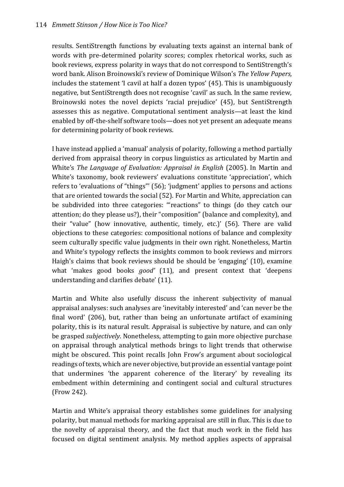#### 114 *Emmett Stinson / How Nice is Too Nice?*

results. SentiStrength functions by evaluating texts against an internal bank of words with pre-determined polarity scores; complex rhetorical works, such as book reviews, express polarity in ways that do not correspond to SentiStrength's word bank. Alison Broinowski's review of Dominique Wilson's *The Yellow Papers,*  includes the statement 'I cavil at half a dozen typos' (45). This is unambiguously negative, but SentiStrength does not recognise 'cavil' as such. In the same review, Broinowski notes the novel depicts 'racial prejudice' (45), but SentiStrength assesses this as negative. Computational sentiment analysis—at least the kind enabled by off-the-shelf software tools—does not yet present an adequate means for determining polarity of book reviews.

I have instead applied a 'manual' analysis of polarity, following a method partially derived from appraisal theory in corpus linguistics as articulated by Martin and White's *The Language of Evaluation: Appraisal in English* (2005). In Martin and White's taxonomy, book reviewers' evaluations constitute 'appreciation', which refers to 'evaluations of "things"' (56); 'judgment' applies to persons and actions that are oriented towards the social (52). For Martin and White, appreciation can be subdivided into three categories: '"reactions" to things (do they catch our attention; do they please us?), their "composition" (balance and complexity), and their "value" (how innovative, authentic, timely, etc.)' (56). There are valid objections to these categories: compositional notions of balance and complexity seem culturally specific value judgments in their own right. Nonetheless, Martin and White's typology reflects the insights common to book reviews and mirrors Haigh's claims that book reviews should be should be 'engaging' (10), examine what 'makes good books *good'* (11), and present context that 'deepens understanding and clarifies debate' (11).

Martin and White also usefully discuss the inherent subjectivity of manual appraisal analyses: such analyses are 'inevitably interested' and 'can never be the final word' (206), but, rather than being an unfortunate artifact of examining polarity, this is its natural result. Appraisal is subjective by nature, and can only be grasped *subjectively*. Nonetheless, attempting to gain more objective purchase on appraisal through analytical methods brings to light trends that otherwise might be obscured. This point recalls John Frow's argument about sociological readings of texts, which are never objective, but provide an essential vantage point that undermines 'the apparent coherence of the literary' by revealing its embedment within determining and contingent social and cultural structures (Frow 242).

Martin and White's appraisal theory establishes some guidelines for analysing polarity, but manual methods for marking appraisal are still in flux. This is due to the novelty of appraisal theory, and the fact that much work in the field has focused on digital sentiment analysis. My method applies aspects of appraisal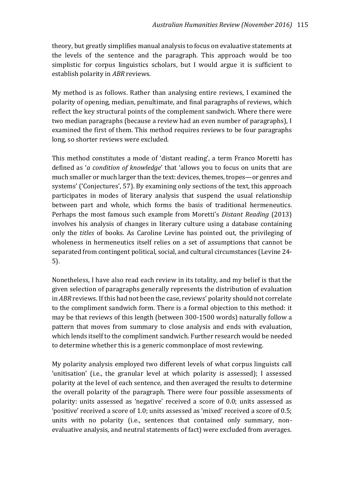theory, but greatly simplifies manual analysis to focus on evaluative statements at the levels of the sentence and the paragraph. This approach would be too simplistic for corpus linguistics scholars, but I would argue it is sufficient to establish polarity in *ABR* reviews.

My method is as follows. Rather than analysing entire reviews, I examined the polarity of opening, median, penultimate, and final paragraphs of reviews, which reflect the key structural points of the complement sandwich. Where there were two median paragraphs (because a review had an even number of paragraphs), I examined the first of them. This method requires reviews to be four paragraphs long, so shorter reviews were excluded.

This method constitutes a mode of 'distant reading', a term Franco Moretti has defined as '*a condition of knowledge*' that 'allows you to focus on units that are much smaller or much larger than the text: devices, themes, tropes—or genres and systems' ('Conjectures', 57). By examining only sections of the text, this approach participates in modes of literary analysis that suspend the usual relationship between part and whole, which forms the basis of traditional hermeneutics. Perhaps the most famous such example from Moretti's *Distant Reading* (2013) involves his analysis of changes in literary culture using a database containing only the *titles* of books. As Caroline Levine has pointed out, the privileging of wholeness in hermeneutics itself relies on a set of assumptions that cannot be separated from contingent political, social, and cultural circumstances (Levine 24- 5).

Nonetheless, I have also read each review in its totality, and my belief is that the given selection of paragraphs generally represents the distribution of evaluation in *ABR* reviews. If this had not been the case, reviews' polarity should not correlate to the compliment sandwich form. There is a formal objection to this method: it may be that reviews of this length (between 300-1500 words) naturally follow a pattern that moves from summary to close analysis and ends with evaluation, which lends itself to the compliment sandwich. Further research would be needed to determine whether this is a generic commonplace of most reviewing.

My polarity analysis employed two different levels of what corpus linguists call 'unitisation' (i.e., the granular level at which polarity is assessed); I assessed polarity at the level of each sentence, and then averaged the results to determine the overall polarity of the paragraph. There were four possible assessments of polarity: units assessed as 'negative' received a score of 0.0; units assessed as 'positive' received a score of 1.0; units assessed as 'mixed' received a score of 0.5; units with no polarity (i.e., sentences that contained only summary, nonevaluative analysis, and neutral statements of fact) were excluded from averages.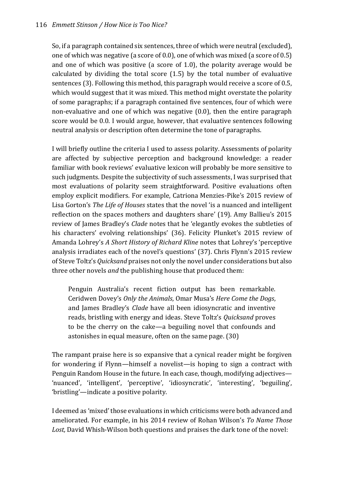So, if a paragraph contained six sentences, three of which were neutral (excluded), one of which was negative (a score of 0.0), one of which was mixed (a score of 0.5) and one of which was positive (a score of 1.0), the polarity average would be calculated by dividing the total score (1.5) by the total number of evaluative sentences (3). Following this method, this paragraph would receive a score of 0.5, which would suggest that it was mixed. This method might overstate the polarity of some paragraphs; if a paragraph contained five sentences, four of which were non-evaluative and one of which was negative (0.0), then the entire paragraph score would be 0.0. I would argue, however, that evaluative sentences following neutral analysis or description often determine the tone of paragraphs.

I will briefly outline the criteria I used to assess polarity. Assessments of polarity are affected by subjective perception and background knowledge: a reader familiar with book reviews' evaluative lexicon will probably be more sensitive to such judgments. Despite the subjectivity of such assessments, I was surprised that most evaluations of polarity seem straightforward. Positive evaluations often employ explicit modifiers. For example, Catriona Menzies-Pike's 2015 review of Lisa Gorton's *The Life of Houses* states that the novel 'is a nuanced and intelligent reflection on the spaces mothers and daughters share' (19). Amy Ballieu's 2015 review of James Bradley's *Clade* notes that he 'elegantly evokes the subtleties of his characters' evolving relationships' (36). Felicity Plunket's 2015 review of Amanda Lohrey's *A Short History of Richard Kline* notes that Lohrey's 'perceptive analysis irradiates each of the novel's questions' (37). Chris Flynn's 2015 review of Steve Toltz's *Quicksand* praises not only the novel under considerations but also three other novels *and* the publishing house that produced them:

Penguin Australia's recent fiction output has been remarkable. Ceridwen Dovey's *Only the Animals*, Omar Musa's *Here Come the Dogs*, and James Bradley's *Clade* have all been idiosyncratic and inventive reads, bristling with energy and ideas. Steve Toltz's *Quicksand* proves to be the cherry on the cake—a beguiling novel that confounds and astonishes in equal measure, often on the same page. (30)

The rampant praise here is so expansive that a cynical reader might be forgiven for wondering if Flynn—himself a novelist—is hoping to sign a contract with Penguin Random House in the future. In each case, though, modifying adjectives— 'nuanced', 'intelligent', 'perceptive', 'idiosyncratic', 'interesting', 'beguiling', 'bristling'—indicate a positive polarity.

I deemed as 'mixed' those evaluations in which criticisms were both advanced and ameliorated. For example, in his 2014 review of Rohan Wilson's *To Name Those*  Lost, David Whish-Wilson both questions and praises the dark tone of the novel: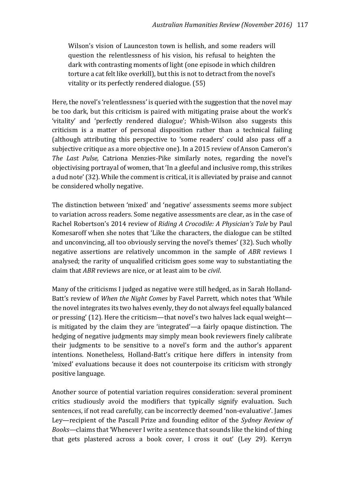Wilson's vision of Launceston town is hellish, and some readers will question the relentlessness of his vision, his refusal to heighten the dark with contrasting moments of light (one episode in which children torture a cat felt like overkill), but this is not to detract from the novel's vitality or its perfectly rendered dialogue. (55)

Here, the novel's 'relentlessness' is queried with the suggestion that the novel may be too dark, but this criticism is paired with mitigating praise about the work's 'vitality' and 'perfectly rendered dialogue'; Whish-Wilson also suggests this criticism is a matter of personal disposition rather than a technical failing (although attributing this perspective to 'some readers' could also pass off a subjective critique as a more objective one). In a 2015 review of Anson Cameron's *The Last Pulse,* Catriona Menzies-Pike similarly notes, regarding the novel's objectivising portrayal of women, that 'In a gleeful and inclusive romp, this strikes a dud note' (32). While the comment is critical, it is alleviated by praise and cannot be considered wholly negative.

The distinction between 'mixed' and 'negative' assessments seems more subject to variation across readers. Some negative assessments are clear, as in the case of Rachel Robertson's 2014 review of *Riding A Crocodile: A Physician's Tale* by Paul Komesaroff when she notes that 'Like the characters, the dialogue can be stilted and unconvincing, all too obviously serving the novel's themes' (32). Such wholly negative assertions are relatively uncommon in the sample of *ABR* reviews I analysed; the rarity of unqualified criticism goes some way to substantiating the claim that *ABR* reviews are nice, or at least aim to be *civil*.

Many of the criticisms I judged as negative were still hedged, as in Sarah Holland-Batt's review of *When the Night Comes* by Favel Parrett, which notes that 'While the novel integrates its two halves evenly, they do not always feel equally balanced or pressing' (12). Here the criticism—that novel's two halves lack equal weight is mitigated by the claim they are 'integrated'—a fairly opaque distinction. The hedging of negative judgments may simply mean book reviewers finely calibrate their judgments to be sensitive to a novel's form and the author's apparent intentions. Nonetheless, Holland-Batt's critique here differs in intensity from 'mixed' evaluations because it does not counterpoise its criticism with strongly positive language.

Another source of potential variation requires consideration: several prominent critics studiously avoid the modifiers that typically signify evaluation. Such sentences, if not read carefully, can be incorrectly deemed 'non-evaluative'. James Ley—recipient of the Pascall Prize and founding editor of the *Sydney Review of Books—*claims that 'Whenever I write a sentence that sounds like the kind of thing that gets plastered across a book cover, I cross it out' (Ley 29). Kerryn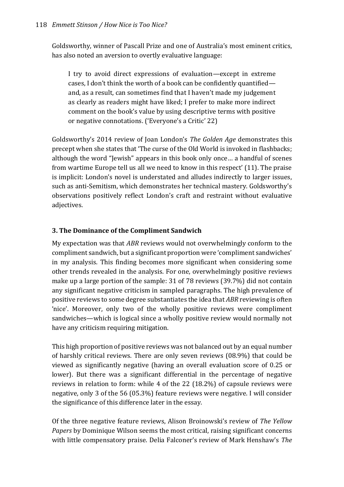Goldsworthy, winner of Pascall Prize and one of Australia's most eminent critics, has also noted an aversion to overtly evaluative language:

I try to avoid direct expressions of evaluation—except in extreme cases, I don't think the worth of a book can be confidently quantified and, as a result, can sometimes find that I haven't made my judgement as clearly as readers might have liked; I prefer to make more indirect comment on the book's value by using descriptive terms with positive or negative connotations. ('Everyone's a Critic' 22)

Goldsworthy's 2014 review of Joan London's *The Golden Age* demonstrates this precept when she states that 'The curse of the Old World is invoked in flashbacks; although the word "Jewish" appears in this book only once… a handful of scenes from wartime Europe tell us all we need to know in this respect' (11). The praise is implicit: London's novel is understated and alludes indirectly to larger issues, such as anti-Semitism, which demonstrates her technical mastery. Goldsworthy's observations positively reflect London's craft and restraint without evaluative adjectives.

# **3. The Dominance of the Compliment Sandwich**

My expectation was that *ABR* reviews would not overwhelmingly conform to the compliment sandwich, but a significant proportion were 'compliment sandwiches' in my analysis. This finding becomes more significant when considering some other trends revealed in the analysis. For one, overwhelmingly positive reviews make up a large portion of the sample: 31 of 78 reviews (39.7%) did not contain any significant negative criticism in sampled paragraphs. The high prevalence of positive reviews to some degree substantiates the idea that *ABR* reviewing is often 'nice'. Moreover, only two of the wholly positive reviews were compliment sandwiches—which is logical since a wholly positive review would normally not have any criticism requiring mitigation.

This high proportion of positive reviews was not balanced out by an equal number of harshly critical reviews. There are only seven reviews (08.9%) that could be viewed as significantly negative (having an overall evaluation score of 0.25 or lower). But there was a significant differential in the percentage of negative reviews in relation to form: while 4 of the 22 (18.2%) of capsule reviews were negative, only 3 of the 56 (05.3%) feature reviews were negative. I will consider the significance of this difference later in the essay.

Of the three negative feature reviews, Alison Broinowski's review of *The Yellow Papers* by Dominique Wilson seems the most critical, raising significant concerns with little compensatory praise. Delia Falconer's review of Mark Henshaw's *The*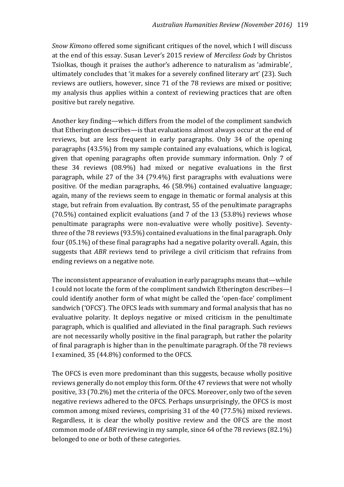*Snow Kimono* offered some significant critiques of the novel, which I will discuss at the end of this essay. Susan Lever's 2015 review of *Merciless Gods* by Christos Tsiolkas, though it praises the author's adherence to naturalism as 'admirable', ultimately concludes that 'it makes for a severely confined literary art' (23). Such reviews are outliers, however, since 71 of the 78 reviews are mixed or positive; my analysis thus applies within a context of reviewing practices that are often positive but rarely negative.

Another key finding—which differs from the model of the compliment sandwich that Etherington describes—is that evaluations almost always occur at the end of reviews, but are less frequent in early paragraphs. Only 34 of the opening paragraphs (43.5%) from my sample contained any evaluations, which is logical, given that opening paragraphs often provide summary information. Only 7 of these 34 reviews (08.9%) had mixed or negative evaluations in the first paragraph, while 27 of the 34 (79.4%) first paragraphs with evaluations were positive. Of the median paragraphs, 46 (58.9%) contained evaluative language; again, many of the reviews seem to engage in thematic or formal analysis at this stage, but refrain from evaluation. By contrast, 55 of the penultimate paragraphs (70.5%) contained explicit evaluations (and 7 of the 13 (53.8%) reviews whose penultimate paragraphs were non-evaluative were wholly positive). Seventythree of the 78 reviews (93.5%) contained evaluations in the final paragraph. Only four (05.1%) of these final paragraphs had a negative polarity overall. Again, this suggests that *ABR* reviews tend to privilege a civil criticism that refrains from ending reviews on a negative note.

The inconsistent appearance of evaluation in early paragraphs means that—while I could not locate the form of the compliment sandwich Etherington describes—I could identify another form of what might be called the 'open-face' compliment sandwich ('OFCS'). The OFCS leads with summary and formal analysis that has no evaluative polarity. It deploys negative or mixed criticism in the penultimate paragraph, which is qualified and alleviated in the final paragraph. Such reviews are not necessarily wholly positive in the final paragraph, but rather the polarity of final paragraph is higher than in the penultimate paragraph. Of the 78 reviews I examined, 35 (44.8%) conformed to the OFCS.

The OFCS is even more predominant than this suggests, because wholly positive reviews generally do not employ this form. Of the 47 reviews that were not wholly positive, 33 (70.2%) met the criteria of the OFCS. Moreover, only two of the seven negative reviews adhered to the OFCS. Perhaps unsurprisingly, the OFCS is most common among mixed reviews, comprising 31 of the 40 (77.5%) mixed reviews. Regardless, it is clear the wholly positive review and the OFCS are the most common mode of *ABR* reviewing in my sample, since 64 of the 78 reviews (82.1%) belonged to one or both of these categories.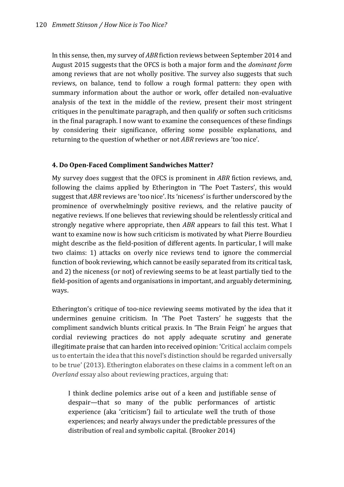In this sense, then, my survey of *ABR* fiction reviews between September 2014 and August 2015 suggests that the OFCS is both a major form and the *dominant form* among reviews that are not wholly positive. The survey also suggests that such reviews, on balance, tend to follow a rough formal pattern: they open with summary information about the author or work, offer detailed non-evaluative analysis of the text in the middle of the review, present their most stringent critiques in the penultimate paragraph, and then qualify or soften such criticisms in the final paragraph. I now want to examine the consequences of these findings by considering their significance, offering some possible explanations, and returning to the question of whether or not *ABR* reviews are 'too nice'.

# **4. Do Open-Faced Compliment Sandwiches Matter?**

My survey does suggest that the OFCS is prominent in *ABR* fiction reviews, and, following the claims applied by Etherington in 'The Poet Tasters', this would suggest that *ABR* reviews are 'too nice'. Its 'niceness' is further underscored by the prominence of overwhelmingly positive reviews, and the relative paucity of negative reviews. If one believes that reviewing should be relentlessly critical and strongly negative where appropriate, then *ABR* appears to fail this test. What I want to examine now is how such criticism is motivated by what Pierre Bourdieu might describe as the field-position of different agents. In particular, I will make two claims: 1) attacks on overly nice reviews tend to ignore the commercial function of book reviewing, which cannot be easily separated from its critical task, and 2) the niceness (or not) of reviewing seems to be at least partially tied to the field-position of agents and organisations in important, and arguably determining, ways.

Etherington's critique of too-nice reviewing seems motivated by the idea that it undermines genuine criticism. In 'The Poet Tasters' he suggests that the compliment sandwich blunts critical praxis. In 'The Brain Feign' he argues that cordial reviewing practices do not apply adequate scrutiny and generate illegitimate praise that can harden into received opinion: 'Critical acclaim compels us to entertain the idea that this novel's distinction should be regarded universally to be true' (2013). Etherington elaborates on these claims in a comment left on an *Overland* essay also about reviewing practices, arguing that:

I think decline polemics arise out of a keen and justifiable sense of despair—that so many of the public performances of artistic experience (aka 'criticism') fail to articulate well the truth of those experiences; and nearly always under the predictable pressures of the distribution of real and symbolic capital. (Brooker 2014)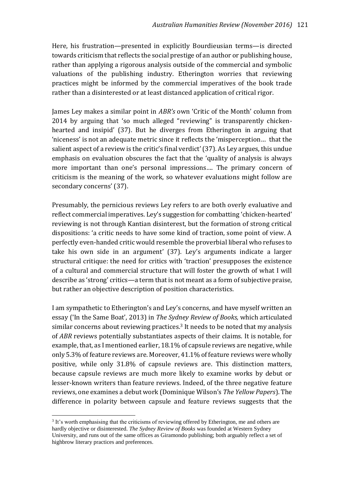Here, his frustration—presented in explicitly Bourdieusian terms—is directed towards criticism that reflects the social prestige of an author or publishing house, rather than applying a rigorous analysis outside of the commercial and symbolic valuations of the publishing industry. Etherington worries that reviewing practices might be informed by the commercial imperatives of the book trade rather than a disinterested or at least distanced application of critical rigor.

James Ley makes a similar point in *ABR's* own 'Critic of the Month' column from 2014 by arguing that 'so much alleged "reviewing" is transparently chickenhearted and insipid' (37). But he diverges from Etherington in arguing that 'niceness' is not an adequate metric since it reflects the 'misperception… that the salient aspect of a review is the critic's final verdict' (37). As Ley argues, this undue emphasis on evaluation obscures the fact that the 'quality of analysis is always more important than one's personal impressions…. The primary concern of criticism is the meaning of the work, so whatever evaluations might follow are secondary concerns' (37).

Presumably, the pernicious reviews Ley refers to are both overly evaluative and reflect commercial imperatives. Ley's suggestion for combatting 'chicken-hearted' reviewing is not through Kantian disinterest, but the formation of strong critical dispositions: 'a critic needs to have some kind of traction, some point of view. A perfectly even-handed critic would resemble the proverbial liberal who refuses to take his own side in an argument' (37). Ley's arguments indicate a larger structural critique: the need for critics with 'traction' presupposes the existence of a cultural and commercial structure that will foster the growth of what I will describe as 'strong' critics—a term that is not meant as a form of subjective praise, but rather an objective description of position characteristics.

I am sympathetic to Etherington's and Ley's concerns, and have myself written an essay ('In the Same Boat', 2013) in *The Sydney Review of Books,* which articulated similar concerns about reviewing practices.<sup>3</sup> It needs to be noted that my analysis of *ABR* reviews potentially substantiates aspects of their claims. It is notable, for example, that, as I mentioned earlier, 18.1% of capsule reviews are negative, while only 5.3% of feature reviews are. Moreover, 41.1% of feature reviews were wholly positive, while only 31.8% of capsule reviews are. This distinction matters, because capsule reviews are much more likely to examine works by debut or lesser-known writers than feature reviews. Indeed, of the three negative feature reviews, one examines a debut work (Dominique Wilson's *The Yellow Papers*). The difference in polarity between capsule and feature reviews suggests that the

j

<sup>&</sup>lt;sup>3</sup> It's worth emphasising that the criticisms of reviewing offered by Etherington, me and others are hardly objective or disinterested. *The Sydney Review of Books* was founded at Western Sydney University, and runs out of the same offices as Giramondo publishing; both arguably reflect a set of highbrow literary practices and preferences.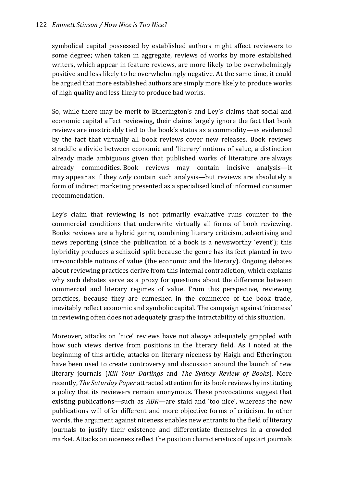symbolical capital possessed by established authors might affect reviewers to some degree; when taken in aggregate, reviews of works by more established writers, which appear in feature reviews, are more likely to be overwhelmingly positive and less likely to be overwhelmingly negative. At the same time, it could be argued that more established authors are simply more likely to produce works of high quality and less likely to produce bad works.

So, while there may be merit to Etherington's and Ley's claims that social and economic capital affect reviewing, their claims largely ignore the fact that book reviews are inextricably tied to the book's status as a commodity—as evidenced by the fact that virtually all book reviews cover new releases. Book reviews straddle a divide between economic and 'literary' notions of value, a distinction already made ambiguous given that published works of literature are always already commodities. Book reviews may contain incisive analysis—it may appear as if they *only* contain such analysis—but reviews are absolutely a form of indirect marketing presented as a specialised kind of informed consumer recommendation.

Ley's claim that reviewing is not primarily evaluative runs counter to the commercial conditions that underwrite virtually all forms of book reviewing. Books reviews are a hybrid genre, combining literary criticism, advertising and news reporting (since the publication of a book is a newsworthy 'event'); this hybridity produces a schizoid split because the genre has its feet planted in two irreconcilable notions of value (the economic and the literary). Ongoing debates about reviewing practices derive from this internal contradiction, which explains why such debates serve as a proxy for questions about the difference between commercial and literary regimes of value. From this perspective, reviewing practices, because they are enmeshed in the commerce of the book trade, inevitably reflect economic and symbolic capital. The campaign against 'niceness' in reviewing often does not adequately grasp the intractability of this situation.

Moreover, attacks on 'nice' reviews have not always adequately grappled with how such views derive from positions in the literary field. As I noted at the beginning of this article, attacks on literary niceness by Haigh and Etherington have been used to create controversy and discussion around the launch of new literary journals (*Kill Your Darlings* and *The Sydney Review of Books*). More recently, *The Saturday Paper* attracted attention for its book reviews by instituting a policy that its reviewers remain anonymous. These provocations suggest that existing publications—such as *ABR—*are staid and 'too nice', whereas the new publications will offer different and more objective forms of criticism. In other words, the argument against niceness enables new entrants to the field of literary journals to justify their existence and differentiate themselves in a crowded market. Attacks on niceness reflect the position characteristics of upstart journals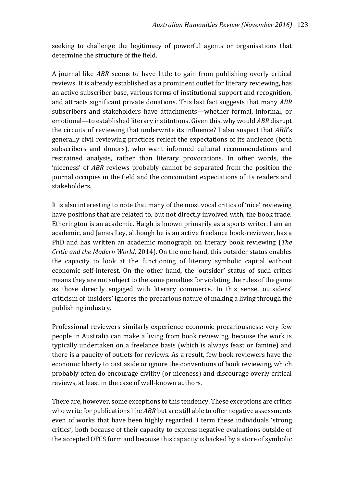seeking to challenge the legitimacy of powerful agents or organisations that determine the structure of the field.

A journal like *ABR* seems to have little to gain from publishing overly critical reviews. It is already established as a prominent outlet for literary reviewing, has an active subscriber base, various forms of institutional support and recognition, and attracts significant private donations. This last fact suggests that many *ABR*  subscribers and stakeholders have attachments—whether formal, informal, or emotional—to established literary institutions. Given this, why would *ABR* disrupt the circuits of reviewing that underwrite its influence? I also suspect that *ABR*'s generally civil reviewing practices reflect the expectations of its audience (both subscribers and donors), who want informed cultural recommendations and restrained analysis, rather than literary provocations. In other words, the 'niceness' of *ABR* reviews probably cannot be separated from the position the journal occupies in the field and the concomitant expectations of its readers and stakeholders.

It is also interesting to note that many of the most vocal critics of 'nice' reviewing have positions that are related to, but not directly involved with, the book trade. Etherington is an academic. Haigh is known primarily as a sports writer. I am an academic, and James Ley, although he is an active freelance book-reviewer, has a PhD and has written an academic monograph on literary book reviewing (*The Critic and the Modern World*, 2014). On the one hand, this outsider status enables the capacity to look at the functioning of literary symbolic capital without economic self-interest. On the other hand, the 'outsider' status of such critics means they are not subject to the same penalties for violating the rules of the game as those directly engaged with literary commerce. In this sense, outsiders' criticism of 'insiders' ignores the precarious nature of making a living through the publishing industry.

Professional reviewers similarly experience economic precariousness: very few people in Australia can make a living from book reviewing, because the work is typically undertaken on a freelance basis (which is always feast or famine) and there is a paucity of outlets for reviews. As a result, few book reviewers have the economic liberty to cast aside or ignore the conventions of book reviewing, which probably often do encourage civility (or niceness) and discourage overly critical reviews, at least in the case of well-known authors.

There are, however, some exceptions to this tendency. These exceptions are critics who write for publications like *ABR* but are still able to offer negative assessments even of works that have been highly regarded. I term these individuals 'strong critics', both because of their capacity to express negative evaluations outside of the accepted OFCS form and because this capacity is backed by a store of symbolic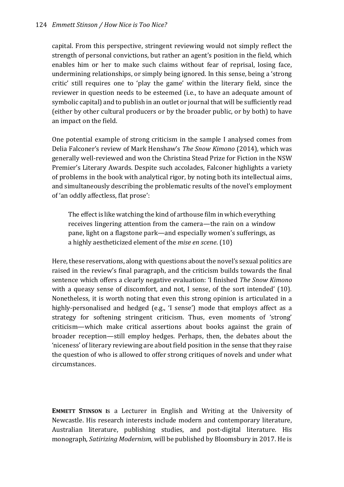capital. From this perspective, stringent reviewing would not simply reflect the strength of personal convictions, but rather an agent's position in the field, which enables him or her to make such claims without fear of reprisal, losing face, undermining relationships, or simply being ignored. In this sense, being a 'strong critic' still requires one to 'play the game' within the literary field, since the reviewer in question needs to be esteemed (i.e., to have an adequate amount of symbolic capital) and to publish in an outlet or journal that will be sufficiently read (either by other cultural producers or by the broader public, or by both) to have an impact on the field.

One potential example of strong criticism in the sample I analysed comes from Delia Falconer's review of Mark Henshaw's *The Snow Kimono* (2014), which was generally well-reviewed and won the Christina Stead Prize for Fiction in the NSW Premier's Literary Awards. Despite such accolades, Falconer highlights a variety of problems in the book with analytical rigor, by noting both its intellectual aims, and simultaneously describing the problematic results of the novel's employment of 'an oddly affectless, flat prose':

The effect is like watching the kind of arthouse film in which everything receives lingering attention from the camera—the rain on a window pane, light on a flagstone park—and especially women's sufferings, as a highly aestheticized element of the *mise en scene*. (10)

Here, these reservations, along with questions about the novel's sexual politics are raised in the review's final paragraph, and the criticism builds towards the final sentence which offers a clearly negative evaluation: 'I finished *The Snow Kimono* with a queasy sense of discomfort, and not, I sense, of the sort intended' (10). Nonetheless, it is worth noting that even this strong opinion is articulated in a highly-personalised and hedged (e.g., 'I sense') mode that employs affect as a strategy for softening stringent criticism. Thus, even moments of 'strong' criticism—which make critical assertions about books against the grain of broader reception—still employ hedges. Perhaps, then, the debates about the 'niceness' of literary reviewing are about field position in the sense that they raise the question of who is allowed to offer strong critiques of novels and under what circumstances.

**EMMETT STINSON I**s a Lecturer in English and Writing at the University of Newcastle. His research interests include modern and contemporary literature, Australian literature, publishing studies, and post-digital literature. His monograph, *Satirizing Modernism,* will be published by Bloomsbury in 2017. He is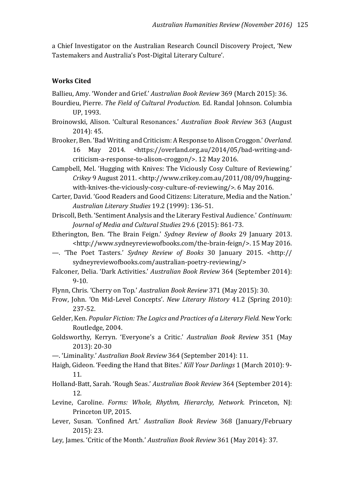a Chief Investigator on the Australian Research Council Discovery Project, 'New Tastemakers and Australia's Post-Digital Literary Culture'.

## **Works Cited**

Ballieu, Amy. 'Wonder and Grief.' *Australian Book Review* 369 (March 2015): 36.

- Bourdieu, Pierre. *The Field of Cultural Production.* Ed. Randal Johnson. Columbia UP, 1993.
- Broinowski, Alison. 'Cultural Resonances.' *Australian Book Review* 363 (August 2014): 45.

Brooker, Ben. 'Bad Writing and Criticism: A Response to Alison Croggon.' *Overland.*  16 May 2014. <https://overland.org.au/2014/05/bad-writing-andcriticism-a-response-to-alison-croggon/>. 12 May 2016.

Campbell, Mel. 'Hugging with Knives: The Viciously Cosy Culture of Reviewing.' *Crikey* 9 August 2011. <http://www.crikey.com.au/2011/08/09/huggingwith-knives-the-viciously-cosy-culture-of-reviewing/>. 6 May 2016.

Carter, David. 'Good Readers and Good Citizens: Literature, Media and the Nation.' *Australian Literary Studies* 19.2 (1999): 136-51.

Driscoll, Beth. 'Sentiment Analysis and the Literary Festival Audience.' *Continuum: Journal of Media and Cultural Studies* 29.6 (2015): 861-73.

Etherington, Ben. 'The Brain Feign.' *Sydney Review of Books* 29 January 2013. <http://www.sydneyreviewofbooks.com/the-brain-feign/>. 15 May 2016.

- —. 'The Poet Tasters.' *Sydney Review of Books* 30 January 2015. <http:// sydneyreviewofbooks.com/australian-poetry-reviewing/>
- Falconer, Delia. 'Dark Activities.' *Australian Book Review* 364 (September 2014): 9-10.

Flynn, Chris. 'Cherry on Top.' *Australian Book Review* 371 (May 2015): 30.

- Frow, John. 'On Mid-Level Concepts'. *New Literary History* 41.2 (Spring 2010): 237-52.
- Gelder, Ken. *Popular Fiction: The Logics and Practices of a Literary Field.* New York: Routledge, 2004.

Goldsworthy, Kerryn. 'Everyone's a Critic.' *Australian Book Review* 351 (May 2013): 20-30

- —. 'Liminality.' *Australian Book Review* 364 (September 2014): 11.
- Haigh, Gideon. 'Feeding the Hand that Bites.' *Kill Your Darlings* 1 (March 2010): 9- 11.
- Holland-Batt, Sarah. 'Rough Seas.' *Australian Book Review* 364 (September 2014): 12.
- Levine, Caroline. *Forms: Whole, Rhythm, Hierarchy, Network.* Princeton, NJ: Princeton UP, 2015.
- Lever, Susan. 'Confined Art.' *Australian Book Review* 368 (January/February 2015): 23.
- Ley, James. 'Critic of the Month.' *Australian Book Review* 361 (May 2014): 37.